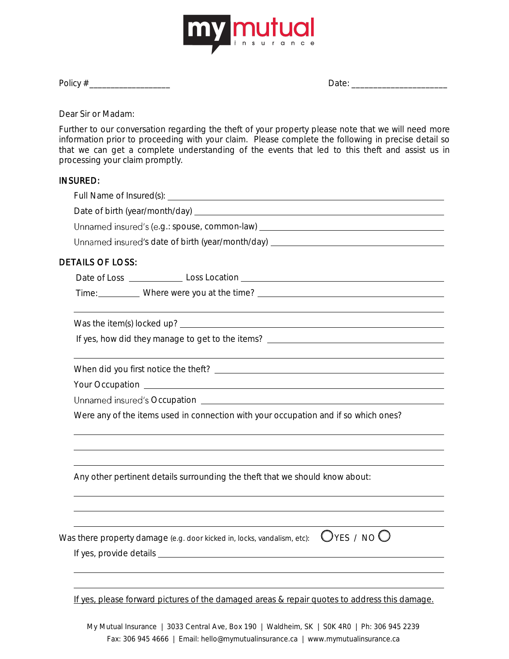

| Policy # |  |  |  |
|----------|--|--|--|
|          |  |  |  |

 $Date:$   $\_\_$ 

Dear Sir or Madam:

Further to our conversation regarding the theft of your property please note that we will need more information prior to proceeding with your claim. Please complete the following in precise detail so that we can get a complete understanding of the events that led to this theft and assist us in processing your claim promptly.

#### INSURED:

| Full Name of Insured(s): Letter and the state of the state of the state of the state of the state of the state of the state of the state of the state of the state of the state of the state of the state of the state of the |
|-------------------------------------------------------------------------------------------------------------------------------------------------------------------------------------------------------------------------------|
|                                                                                                                                                                                                                               |
| Unnamed insured's (e.g.: spouse, common-law) ___________________________________                                                                                                                                              |
| Unnamed insured's date of birth (year/month/day) _______________________________                                                                                                                                              |
| <b>DETAILS OF LOSS:</b>                                                                                                                                                                                                       |
|                                                                                                                                                                                                                               |
|                                                                                                                                                                                                                               |
|                                                                                                                                                                                                                               |
|                                                                                                                                                                                                                               |
| If yes, how did they manage to get to the items? ________________________________                                                                                                                                             |
|                                                                                                                                                                                                                               |
|                                                                                                                                                                                                                               |
|                                                                                                                                                                                                                               |
| Were any of the items used in connection with your occupation and if so which ones?                                                                                                                                           |
|                                                                                                                                                                                                                               |
|                                                                                                                                                                                                                               |
| Any other pertinent details surrounding the theft that we should know about:                                                                                                                                                  |
|                                                                                                                                                                                                                               |
|                                                                                                                                                                                                                               |
|                                                                                                                                                                                                                               |
|                                                                                                                                                                                                                               |
|                                                                                                                                                                                                                               |
| If yes, please forward pictures of the damaged areas & repair quotes to address this damage.                                                                                                                                  |

My Mutual Insurance | 3033 Central Ave, Box 190 | Waldheim, SK | S0K 4R0 | Ph: 306 945 2239 [Fax: 306 945 4666 | Email: hello@mymutualinsurance.ca](mailto:%0BFax:%20306%20945%204666%20%20%7C%20%20Email:%20hello@mymutualinsurance.ca) | [www.mymutualinsurance.ca](http://www.mymutualinsurance.ca/)